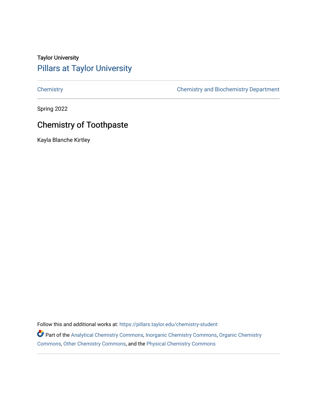# Taylor University [Pillars at Taylor University](https://pillars.taylor.edu/)

[Chemistry](https://pillars.taylor.edu/chemistry-student) [Chemistry and Biochemistry Department](https://pillars.taylor.edu/chemistry) 

Spring 2022

# Chemistry of Toothpaste

Kayla Blanche Kirtley

Follow this and additional works at: https://pillars.taylor.edu/chemistry-student

Part of the [Analytical Chemistry Commons,](https://network.bepress.com/hgg/discipline/132?utm_source=pillars.taylor.edu%2Fchemistry-student%2F27&utm_medium=PDF&utm_campaign=PDFCoverPages) [Inorganic Chemistry Commons,](https://network.bepress.com/hgg/discipline/137?utm_source=pillars.taylor.edu%2Fchemistry-student%2F27&utm_medium=PDF&utm_campaign=PDFCoverPages) [Organic Chemistry](https://network.bepress.com/hgg/discipline/138?utm_source=pillars.taylor.edu%2Fchemistry-student%2F27&utm_medium=PDF&utm_campaign=PDFCoverPages) [Commons](https://network.bepress.com/hgg/discipline/138?utm_source=pillars.taylor.edu%2Fchemistry-student%2F27&utm_medium=PDF&utm_campaign=PDFCoverPages), [Other Chemistry Commons](https://network.bepress.com/hgg/discipline/141?utm_source=pillars.taylor.edu%2Fchemistry-student%2F27&utm_medium=PDF&utm_campaign=PDFCoverPages), and the [Physical Chemistry Commons](https://network.bepress.com/hgg/discipline/139?utm_source=pillars.taylor.edu%2Fchemistry-student%2F27&utm_medium=PDF&utm_campaign=PDFCoverPages)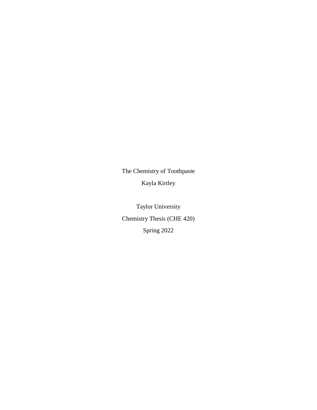The Chemistry of Toothpaste Kayla Kirtley

Taylor University Chemistry Thesis (CHE 420) Spring 2022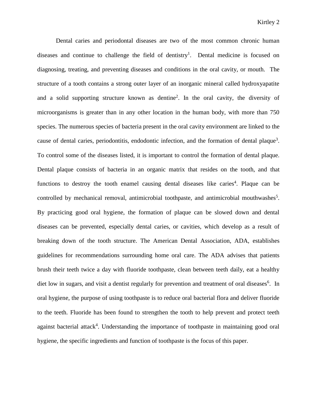Dental caries and periodontal diseases are two of the most common chronic human diseases and continue to challenge the field of dentistry<sup>1</sup>. Dental medicine is focused on diagnosing, treating, and preventing diseases and conditions in the oral cavity, or mouth. The structure of a tooth contains a strong outer layer of an inorganic mineral called hydroxyapatite and a solid supporting structure known as dentine<sup>2</sup> . In the oral cavity, the diversity of microorganisms is greater than in any other location in the human body, with more than 750 species. The numerous species of bacteria present in the oral cavity environment are linked to the cause of dental caries, periodontitis, endodontic infection, and the formation of dental plaque<sup>3</sup>. To control some of the diseases listed, it is important to control the formation of dental plaque. Dental plaque consists of bacteria in an organic matrix that resides on the tooth, and that functions to destroy the tooth enamel causing dental diseases like caries<sup>4</sup>. Plaque can be controlled by mechanical removal, antimicrobial toothpaste, and antimicrobial mouthwashes<sup>5</sup>. By practicing good oral hygiene, the formation of plaque can be slowed down and dental diseases can be prevented, especially dental caries, or cavities, which develop as a result of breaking down of the tooth structure. The American Dental Association, ADA, establishes guidelines for recommendations surrounding home oral care. The ADA advises that patients brush their teeth twice a day with fluoride toothpaste, clean between teeth daily, eat a healthy diet low in sugars, and visit a dentist regularly for prevention and treatment of oral diseases<sup>6</sup>. In oral hygiene, the purpose of using toothpaste is to reduce oral bacterial flora and deliver fluoride to the teeth. Fluoride has been found to strengthen the tooth to help prevent and protect teeth against bacterial attack<sup>4</sup>. Understanding the importance of toothpaste in maintaining good oral hygiene, the specific ingredients and function of toothpaste is the focus of this paper.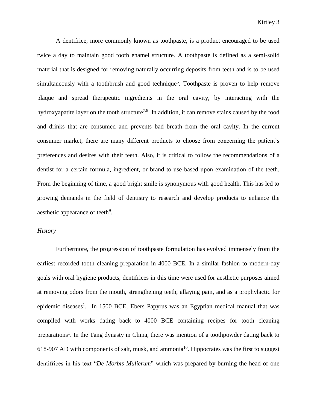A dentifrice, more commonly known as toothpaste, is a product encouraged to be used twice a day to maintain good tooth enamel structure. A toothpaste is defined as a semi-solid material that is designed for removing naturally occurring deposits from teeth and is to be used simultaneously with a toothbrush and good technique<sup>5</sup>. Toothpaste is proven to help remove plaque and spread therapeutic ingredients in the oral cavity, by interacting with the hydroxyapatite layer on the tooth structure<sup>7,8</sup>. In addition, it can remove stains caused by the food and drinks that are consumed and prevents bad breath from the oral cavity. In the current consumer market, there are many different products to choose from concerning the patient's preferences and desires with their teeth. Also, it is critical to follow the recommendations of a dentist for a certain formula, ingredient, or brand to use based upon examination of the teeth. From the beginning of time, a good bright smile is synonymous with good health. This has led to growing demands in the field of dentistry to research and develop products to enhance the aesthetic appearance of teeth<sup>9</sup>.

## *History*

Furthermore, the progression of toothpaste formulation has evolved immensely from the earliest recorded tooth cleaning preparation in 4000 BCE. In a similar fashion to modern-day goals with oral hygiene products, dentifrices in this time were used for aesthetic purposes aimed at removing odors from the mouth, strengthening teeth, allaying pain, and as a prophylactic for epidemic diseases<sup>1</sup>. In 1500 BCE, Ebers Papyrus was an Egyptian medical manual that was compiled with works dating back to 4000 BCE containing recipes for tooth cleaning preparations<sup>1</sup>. In the Tang dynasty in China, there was mention of a toothpowder dating back to 618-907 AD with components of salt, musk, and ammonia<sup>10</sup>. Hippocrates was the first to suggest dentifrices in his text "*De Morbis Mulierum*" which was prepared by burning the head of one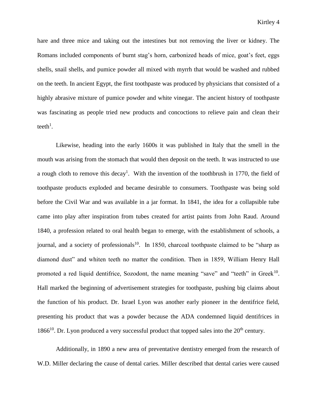hare and three mice and taking out the intestines but not removing the liver or kidney. The Romans included components of burnt stag's horn, carbonized heads of mice, goat's feet, eggs shells, snail shells, and pumice powder all mixed with myrrh that would be washed and rubbed on the teeth. In ancient Egypt, the first toothpaste was produced by physicians that consisted of a highly abrasive mixture of pumice powder and white vinegar. The ancient history of toothpaste was fascinating as people tried new products and concoctions to relieve pain and clean their teeth<sup>1</sup>.

Likewise, heading into the early 1600s it was published in Italy that the smell in the mouth was arising from the stomach that would then deposit on the teeth. It was instructed to use a rough cloth to remove this decay<sup>1</sup>. With the invention of the toothbrush in 1770, the field of toothpaste products exploded and became desirable to consumers. Toothpaste was being sold before the Civil War and was available in a jar format. In 1841, the idea for a collapsible tube came into play after inspiration from tubes created for artist paints from John Raud. Around 1840, a profession related to oral health began to emerge, with the establishment of schools, a journal, and a society of professionals<sup>10</sup>. In 1850, charcoal toothpaste claimed to be "sharp as diamond dust" and whiten teeth no matter the condition. Then in 1859, William Henry Hall promoted a red liquid dentifrice, Sozodont, the name meaning "save" and "teeth" in Greek<sup>10</sup>. Hall marked the beginning of advertisement strategies for toothpaste, pushing big claims about the function of his product. Dr. Israel Lyon was another early pioneer in the dentifrice field, presenting his product that was a powder because the ADA condemned liquid dentifrices in 1866<sup>10</sup>. Dr. Lyon produced a very successful product that topped sales into the  $20<sup>th</sup>$  century.

Additionally, in 1890 a new area of preventative dentistry emerged from the research of W.D. Miller declaring the cause of dental caries. Miller described that dental caries were caused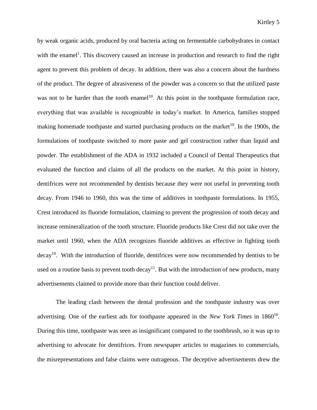by weak organic acids, produced by oral bacteria acting on fermentable carbohydrates in contact with the enamel<sup>1</sup>. This discovery caused an increase in production and research to find the right agent to prevent this problem of decay. In addition, there was also a concern about the hardness of the product. The degree of abrasiveness of the powder was a concern so that the utilized paste was not to be harder than the tooth enamel<sup>10</sup>. At this point in the toothpaste formulation race, everything that was available is recognizable in today's market. In America, families stopped making homemade toothpaste and started purchasing products on the market<sup>10</sup>. In the 1900s, the formulations of toothpaste switched to more paste and gel construction rather than liquid and powder. The establishment of the ADA in 1932 included a Council of Dental Therapeutics that evaluated the function and claims of all the products on the market. At this point in history, dentifrices were not recommended by dentists because they were not useful in preventing tooth decay. From 1946 to 1960, this was the time of additives in toothpaste formulations. In 1955, Crest introduced its fluoride formulation, claiming to prevent the progression of tooth decay and increase remineralization of the tooth structure. Fluoride products like Crest did not take over the market until 1960, when the ADA recognizes fluoride additives as effective in fighting tooth decay<sup>10</sup>. With the introduction of fluoride, dentifrices were now recommended by dentists to be used on a routine basis to prevent tooth decay<sup>11</sup>. But with the introduction of new products, many advertisements claimed to provide more than their function could deliver.

The leading clash between the dental profession and the toothpaste industry was over advertising. One of the earliest ads for toothpaste appeared in the *New York Times* in 1860<sup>10</sup>. During this time, toothpaste was seen as insignificant compared to the toothbrush, so it was up to advertising to advocate for dentifrices. From newspaper articles to magazines to commercials, the misrepresentations and false claims were outrageous. The deceptive advertisements drew the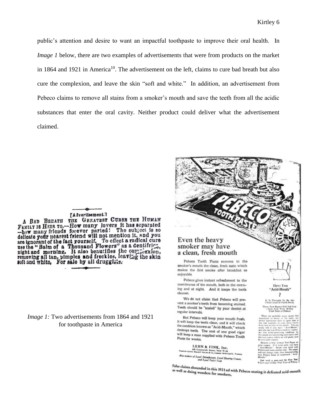public's attention and desire to want an impactful toothpaste to improve their oral health. In *Image 1* below, there are two examples of advertisements that were from products on the market in 1864 and 1921 in America<sup>10</sup>. The advertisement on the left, claims to cure bad breath but also cure the complexion, and leave the skin "soft and white." In addition, an advertisement from Pebeco claims to remove all stains from a smoker's mouth and save the teeth from all the acidic substances that enter the oral cavity. Neither product could deliver what the advertisement claimed.

#### **TA** dvertisement.7

A BAD BREATH THE GREATEST CURSE THE HUMAN A BAD BEENIA THE CARRIED OVER It has separated<br>-how many friends forever parted! The subject is so -how many friends forever parted: The subject is so<br>delicate your nearest friend will not mention it, and you<br>are ignorant of the fact yourself. To effect a radical cure<br>use the "Balm of a Thousand Flowers" as a dentifriry soft and white, For sale by all drugglats.

*Image 1:* Two advertisements from 1864 and 1921 for toothpaste in America



vent a smoker's teeth from becoming stained. Teeth should be "scaled" by your dentist at regular intervals.

But Pebeco will keep your mouth fresh. It will keep the teeth clean, and it will check the condition known as "Acid-Mouth," which destroys teeth. The cost of one good cigar will keep a man supplied with Pebeco Tooth Paste for weeks.

LEHN & FINK, Inc. Greenwich Street, New York<br>wid P Ricke & Co., Limind, 19 McCa Also makers of Lysol Disinfectual, Lysol Sharing Crosses<br>and Lysol Disinfectual, Lysol Sharing Crosses,<br>and Lysol Tailet Soap

.<br>Test Papers Will Tell You<br>ient Free With 10-Day  $\overline{1}$  and

False claims abounded in this 1921 ad with Pebeco stating it defeated acid-mouth as well as doing wonders for smokers. as well as doing wonders for smokers.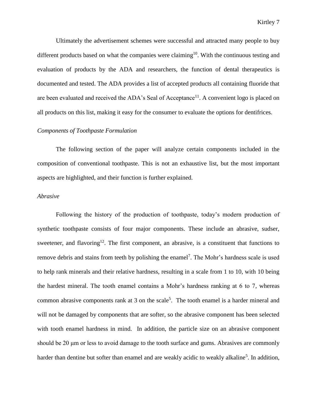Ultimately the advertisement schemes were successful and attracted many people to buy different products based on what the companies were claiming<sup>10</sup>. With the continuous testing and evaluation of products by the ADA and researchers, the function of dental therapeutics is documented and tested. The ADA provides a list of accepted products all containing fluoride that are been evaluated and received the ADA's Seal of Acceptance<sup>11</sup>. A convenient logo is placed on all products on this list, making it easy for the consumer to evaluate the options for dentifrices.

## *Components of Toothpaste Formulation*

The following section of the paper will analyze certain components included in the composition of conventional toothpaste. This is not an exhaustive list, but the most important aspects are highlighted, and their function is further explained.

## *Abrasive*

Following the history of the production of toothpaste, today's modern production of synthetic toothpaste consists of four major components. These include an abrasive, sudser, sweetener, and flavoring<sup>12</sup>. The first component, an abrasive, is a constituent that functions to remove debris and stains from teeth by polishing the enamel<sup>7</sup>. The Mohr's hardness scale is used to help rank minerals and their relative hardness, resulting in a scale from 1 to 10, with 10 being the hardest mineral. The tooth enamel contains a Mohr's hardness ranking at 6 to 7, whereas common abrasive components rank at 3 on the scale<sup>5</sup>. The tooth enamel is a harder mineral and will not be damaged by components that are softer, so the abrasive component has been selected with tooth enamel hardness in mind. In addition, the particle size on an abrasive component should be 20 μm or less to avoid damage to the tooth surface and gums. Abrasives are commonly harder than dentine but softer than enamel and are weakly acidic to weakly alkaline<sup>5</sup>. In addition,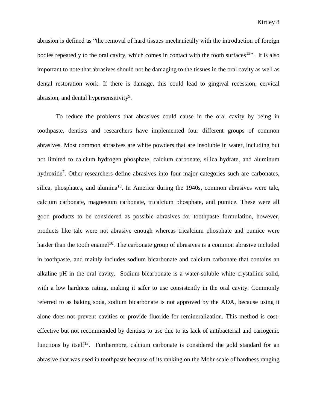abrasion is defined as "the removal of hard tissues mechanically with the introduction of foreign bodies repeatedly to the oral cavity, which comes in contact with the tooth surfaces<sup>13"</sup>. It is also important to note that abrasives should not be damaging to the tissues in the oral cavity as well as dental restoration work. If there is damage, this could lead to gingival recession, cervical abrasion, and dental hypersensitivity<sup>9</sup>.

To reduce the problems that abrasives could cause in the oral cavity by being in toothpaste, dentists and researchers have implemented four different groups of common abrasives. Most common abrasives are white powders that are insoluble in water, including but not limited to calcium hydrogen phosphate, calcium carbonate, silica hydrate, and aluminum hydroxide<sup>7</sup>. Other researchers define abrasives into four major categories such are carbonates, silica, phosphates, and alumina<sup>13</sup>. In America during the 1940s, common abrasives were talc, calcium carbonate, magnesium carbonate, tricalcium phosphate, and pumice. These were all good products to be considered as possible abrasives for toothpaste formulation, however, products like talc were not abrasive enough whereas tricalcium phosphate and pumice were harder than the tooth enamel<sup>10</sup>. The carbonate group of abrasives is a common abrasive included in toothpaste, and mainly includes sodium bicarbonate and calcium carbonate that contains an alkaline pH in the oral cavity. Sodium bicarbonate is a water-soluble white crystalline solid, with a low hardness rating, making it safer to use consistently in the oral cavity. Commonly referred to as baking soda, sodium bicarbonate is not approved by the ADA, because using it alone does not prevent cavities or provide fluoride for remineralization. This method is costeffective but not recommended by dentists to use due to its lack of antibacterial and cariogenic functions by itself<sup>13</sup>. Furthermore, calcium carbonate is considered the gold standard for an abrasive that was used in toothpaste because of its ranking on the Mohr scale of hardness ranging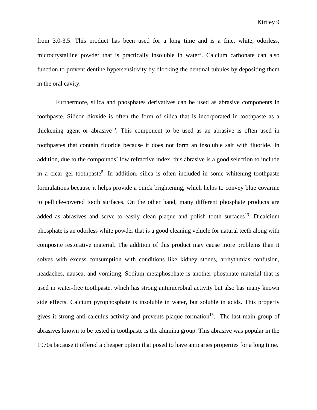from 3.0-3.5. This product has been used for a long time and is a fine, white, odorless, microcrystalline powder that is practically insoluble in water<sup>3</sup>. Calcium carbonate can also function to prevent dentine hypersensitivity by blocking the dentinal tubules by depositing them in the oral cavity.

Furthermore, silica and phosphates derivatives can be used as abrasive components in toothpaste. Silicon dioxide is often the form of silica that is incorporated in toothpaste as a thickening agent or abrasive<sup>13</sup>. This component to be used as an abrasive is often used in toothpastes that contain fluoride because it does not form an insoluble salt with fluoride. In addition, due to the compounds' low refractive index, this abrasive is a good selection to include in a clear gel toothpaste<sup>5</sup>. In addition, silica is often included in some whitening toothpaste formulations because it helps provide a quick brightening, which helps to convey blue covarine to pellicle-covered tooth surfaces. On the other hand, many different phosphate products are added as abrasives and serve to easily clean plaque and polish tooth surfaces<sup>13</sup>. Dicalcium phosphate is an odorless white powder that is a good cleaning vehicle for natural teeth along with composite restorative material. The addition of this product may cause more problems than it solves with excess consumption with conditions like kidney stones, arrhythmias confusion, headaches, nausea, and vomiting. Sodium metaphosphate is another phosphate material that is used in water-free toothpaste, which has strong antimicrobial activity but also has many known side effects. Calcium pyrophosphate is insoluble in water, but soluble in acids. This property gives it strong anti-calculus activity and prevents plaque formation $13$ . The last main group of abrasives known to be tested in toothpaste is the alumina group. This abrasive was popular in the 1970s because it offered a cheaper option that posed to have anticaries properties for a long time.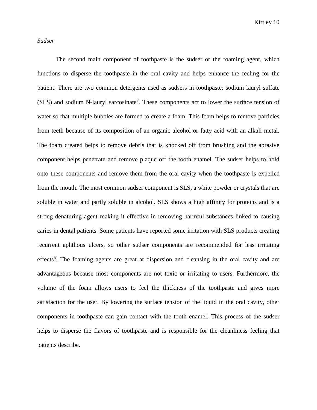Kirtley 10

*Sudser*

The second main component of toothpaste is the sudser or the foaming agent, which functions to disperse the toothpaste in the oral cavity and helps enhance the feeling for the patient. There are two common detergents used as sudsers in toothpaste: sodium lauryl sulfate  $(SLS)$  and sodium N-lauryl sarcosinate<sup>7</sup>. These components act to lower the surface tension of water so that multiple bubbles are formed to create a foam. This foam helps to remove particles from teeth because of its composition of an organic alcohol or fatty acid with an alkali metal. The foam created helps to remove debris that is knocked off from brushing and the abrasive component helps penetrate and remove plaque off the tooth enamel. The sudser helps to hold onto these components and remove them from the oral cavity when the toothpaste is expelled from the mouth. The most common sudser component is SLS, a white powder or crystals that are soluble in water and partly soluble in alcohol. SLS shows a high affinity for proteins and is a strong denaturing agent making it effective in removing harmful substances linked to causing caries in dental patients. Some patients have reported some irritation with SLS products creating recurrent aphthous ulcers, so other sudser components are recommended for less irritating effects<sup>5</sup>. The foaming agents are great at dispersion and cleansing in the oral cavity and are advantageous because most components are not toxic or irritating to users. Furthermore, the volume of the foam allows users to feel the thickness of the toothpaste and gives more satisfaction for the user. By lowering the surface tension of the liquid in the oral cavity, other components in toothpaste can gain contact with the tooth enamel. This process of the sudser helps to disperse the flavors of toothpaste and is responsible for the cleanliness feeling that patients describe.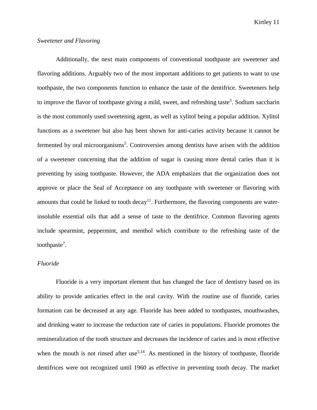Kirtley 11

# *Sweetener and Flavoring*

Additionally, the next main components of conventional toothpaste are sweetener and flavoring additions. Arguably two of the most important additions to get patients to want to use toothpaste, the two components function to enhance the taste of the dentifrice. Sweeteners help to improve the flavor of toothpaste giving a mild, sweet, and refreshing taste<sup>5</sup>. Sodium saccharin is the most commonly used sweetening agent, as well as xylitol being a popular addition. Xylitol functions as a sweetener but also has been shown for anti-caries activity because it cannot be fermented by oral microorganisms<sup>5</sup>. Controversies among dentists have arisen with the addition of a sweetener concerning that the addition of sugar is causing more dental caries than it is preventing by using toothpaste. However, the ADA emphasizes that the organization does not approve or place the Seal of Acceptance on any toothpaste with sweetener or flavoring with amounts that could be linked to tooth decay<sup>11</sup>. Furthermore, the flavoring components are waterinsoluble essential oils that add a sense of taste to the dentifrice. Common flavoring agents include spearmint, peppermint, and menthol which contribute to the refreshing taste of the toothpaste<sup>7</sup>.

## *Fluoride*

Fluoride is a very important element that has changed the face of dentistry based on its ability to provide anticaries effect in the oral cavity. With the routine use of fluoride, caries formation can be decreased at any age. Fluoride has been added to toothpastes, mouthwashes, and drinking water to increase the reduction rate of caries in populations. Fluoride promotes the remineralization of the tooth structure and decreases the incidence of caries and is most effective when the mouth is not rinsed after use<sup>5,14</sup>. As mentioned in the history of toothpaste, fluoride dentifrices were not recognized until 1960 as effective in preventing tooth decay. The market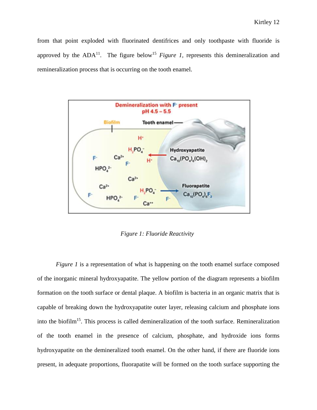from that point exploded with fluorinated dentifrices and only toothpaste with fluoride is approved by the  $ADA^{11}$ . The figure below<sup>15</sup> *Figure 1*, represents this demineralization and remineralization process that is occurring on the tooth enamel.



*Figure 1: Fluoride Reactivity*

*Figure 1* is a representation of what is happening on the tooth enamel surface composed of the inorganic mineral hydroxyapatite. The yellow portion of the diagram represents a biofilm formation on the tooth surface or dental plaque. A biofilm is bacteria in an organic matrix that is capable of breaking down the hydroxyapatite outer layer, releasing calcium and phosphate ions into the biofilm<sup>15</sup>. This process is called demineralization of the tooth surface. Remineralization of the tooth enamel in the presence of calcium, phosphate, and hydroxide ions forms hydroxyapatite on the demineralized tooth enamel. On the other hand, if there are fluoride ions present, in adequate proportions, fluorapatite will be formed on the tooth surface supporting the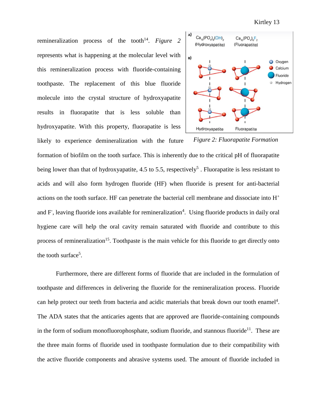remineralization process of the tooth<sup>14</sup>. *Figure* 2 represents what is happening at the molecular level with this remineralization process with fluoride-containing toothpaste. The replacement of this blue fluoride molecule into the crystal structure of hydroxyapatite results in fluorapatite that is less soluble than hydroxyapatite. With this property, fluorapatite is less

likely to experience demineralization with the future



*Figure 2: Fluorapatite Formation*

formation of biofilm on the tooth surface. This is inherently due to the critical pH of fluorapatite being lower than that of hydroxyapatite, 4.5 to 5.5, respectively<sup>5</sup>. Fluorapatite is less resistant to acids and will also form hydrogen fluoride (HF) when fluoride is present for anti-bacterial actions on the tooth surface. HF can penetrate the bacterial cell membrane and dissociate into H<sup>+</sup> and F, leaving fluoride ions available for remineralization<sup>4</sup>. Using fluoride products in daily oral hygiene care will help the oral cavity remain saturated with fluoride and contribute to this process of remineralization<sup>15</sup>. Toothpaste is the main vehicle for this fluoride to get directly onto the tooth surface<sup>5</sup>.

Furthermore, there are different forms of fluoride that are included in the formulation of toothpaste and differences in delivering the fluoride for the remineralization process. Fluoride can help protect our teeth from bacteria and acidic materials that break down our tooth enamel<sup>4</sup>. The ADA states that the anticaries agents that are approved are fluoride-containing compounds in the form of sodium monofluorophosphate, sodium fluoride, and stannous fluoride<sup>11</sup>. These are the three main forms of fluoride used in toothpaste formulation due to their compatibility with the active fluoride components and abrasive systems used. The amount of fluoride included in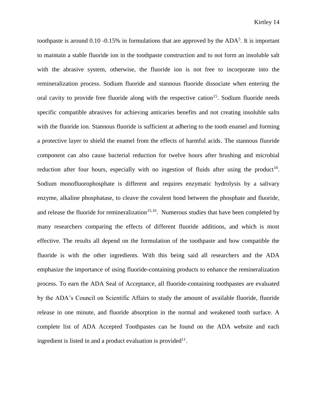toothpaste is around  $0.10 - 0.15\%$  in formulations that are approved by the ADA<sup>5</sup>. It is important to maintain a stable fluoride ion in the toothpaste construction and to not form an insoluble salt with the abrasive system, otherwise, the fluoride ion is not free to incorporate into the remineralization process. Sodium fluoride and stannous fluoride dissociate when entering the oral cavity to provide free fluoride along with the respective cation<sup>15</sup>. Sodium fluoride needs specific compatible abrasives for achieving anticaries benefits and not creating insoluble salts with the fluoride ion. Stannous fluoride is sufficient at adhering to the tooth enamel and forming a protective layer to shield the enamel from the effects of harmful acids. The stannous fluoride component can also cause bacterial reduction for twelve hours after brushing and microbial reduction after four hours, especially with no ingestion of fluids after using the product<sup>16</sup>. Sodium monofluorophosphate is different and requires enzymatic hydrolysis by a salivary enzyme, alkaline phosphatase, to cleave the covalent bond between the phosphate and fluoride, and release the fluoride for remineralization<sup>15,16</sup>. Numerous studies that have been completed by many researchers comparing the effects of different fluoride additions, and which is most effective. The results all depend on the formulation of the toothpaste and how compatible the fluoride is with the other ingredients. With this being said all researchers and the ADA emphasize the importance of using fluoride-containing products to enhance the remineralization process. To earn the ADA Seal of Acceptance, all fluoride-containing toothpastes are evaluated by the ADA's Council on Scientific Affairs to study the amount of available fluoride, fluoride release in one minute, and fluoride absorption in the normal and weakened tooth surface. A complete list of ADA Accepted Toothpastes can be found on the ADA website and each ingredient is listed in and a product evaluation is provided $11$ .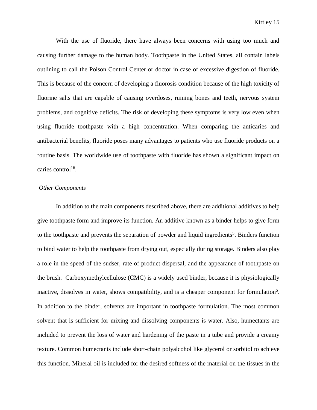With the use of fluoride, there have always been concerns with using too much and causing further damage to the human body. Toothpaste in the United States, all contain labels outlining to call the Poison Control Center or doctor in case of excessive digestion of fluoride. This is because of the concern of developing a fluorosis condition because of the high toxicity of fluorine salts that are capable of causing overdoses, ruining bones and teeth, nervous system problems, and cognitive deficits. The risk of developing these symptoms is very low even when using fluoride toothpaste with a high concentration. When comparing the anticaries and antibacterial benefits, fluoride poses many advantages to patients who use fluoride products on a routine basis. The worldwide use of toothpaste with fluoride has shown a significant impact on caries control<sup>16</sup>.

# *Other Components*

In addition to the main components described above, there are additional additives to help give toothpaste form and improve its function. An additive known as a binder helps to give form to the toothpaste and prevents the separation of powder and liquid ingredients<sup>5</sup>. Binders function to bind water to help the toothpaste from drying out, especially during storage. Binders also play a role in the speed of the sudser, rate of product dispersal, and the appearance of toothpaste on the brush. Carboxymethylcellulose (CMC) is a widely used binder, because it is physiologically inactive, dissolves in water, shows compatibility, and is a cheaper component for formulation<sup>5</sup>. In addition to the binder, solvents are important in toothpaste formulation. The most common solvent that is sufficient for mixing and dissolving components is water. Also, humectants are included to prevent the loss of water and hardening of the paste in a tube and provide a creamy texture. Common humectants include short-chain polyalcohol like glycerol or sorbitol to achieve this function. Mineral oil is included for the desired softness of the material on the tissues in the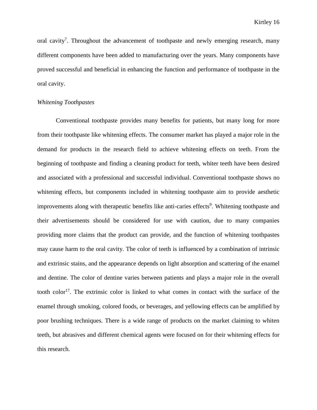oral cavity<sup>7</sup>. Throughout the advancement of toothpaste and newly emerging research, many different components have been added to manufacturing over the years. Many components have proved successful and beneficial in enhancing the function and performance of toothpaste in the oral cavity.

# *Whitening Toothpastes*

Conventional toothpaste provides many benefits for patients, but many long for more from their toothpaste like whitening effects. The consumer market has played a major role in the demand for products in the research field to achieve whitening effects on teeth. From the beginning of toothpaste and finding a cleaning product for teeth, whiter teeth have been desired and associated with a professional and successful individual. Conventional toothpaste shows no whitening effects, but components included in whitening toothpaste aim to provide aesthetic improvements along with therapeutic benefits like anti-caries effects<sup>9</sup>. Whitening toothpaste and their advertisements should be considered for use with caution, due to many companies providing more claims that the product can provide, and the function of whitening toothpastes may cause harm to the oral cavity. The color of teeth is influenced by a combination of intrinsic and extrinsic stains, and the appearance depends on light absorption and scattering of the enamel and dentine. The color of dentine varies between patients and plays a major role in the overall tooth color<sup>17</sup>. The extrinsic color is linked to what comes in contact with the surface of the enamel through smoking, colored foods, or beverages, and yellowing effects can be amplified by poor brushing techniques. There is a wide range of products on the market claiming to whiten teeth, but abrasives and different chemical agents were focused on for their whitening effects for this research.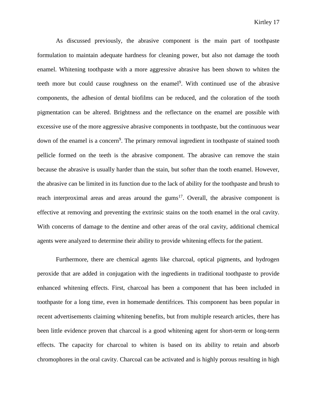As discussed previously, the abrasive component is the main part of toothpaste formulation to maintain adequate hardness for cleaning power, but also not damage the tooth enamel. Whitening toothpaste with a more aggressive abrasive has been shown to whiten the teeth more but could cause roughness on the enamel<sup>9</sup>. With continued use of the abrasive components, the adhesion of dental biofilms can be reduced, and the coloration of the tooth pigmentation can be altered. Brightness and the reflectance on the enamel are possible with excessive use of the more aggressive abrasive components in toothpaste, but the continuous wear down of the enamel is a concern<sup>9</sup>. The primary removal ingredient in toothpaste of stained tooth pellicle formed on the teeth is the abrasive component. The abrasive can remove the stain because the abrasive is usually harder than the stain, but softer than the tooth enamel. However, the abrasive can be limited in its function due to the lack of ability for the toothpaste and brush to reach interproximal areas and areas around the gums<sup>17</sup>. Overall, the abrasive component is effective at removing and preventing the extrinsic stains on the tooth enamel in the oral cavity. With concerns of damage to the dentine and other areas of the oral cavity, additional chemical agents were analyzed to determine their ability to provide whitening effects for the patient.

Furthermore, there are chemical agents like charcoal, optical pigments, and hydrogen peroxide that are added in conjugation with the ingredients in traditional toothpaste to provide enhanced whitening effects. First, charcoal has been a component that has been included in toothpaste for a long time, even in homemade dentifrices. This component has been popular in recent advertisements claiming whitening benefits, but from multiple research articles, there has been little evidence proven that charcoal is a good whitening agent for short-term or long-term effects. The capacity for charcoal to whiten is based on its ability to retain and absorb chromophores in the oral cavity. Charcoal can be activated and is highly porous resulting in high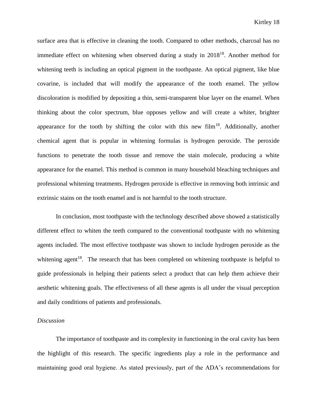surface area that is effective in cleaning the tooth. Compared to other methods, charcoal has no immediate effect on whitening when observed during a study in 2018<sup>18</sup>. Another method for whitening teeth is including an optical pigment in the toothpaste. An optical pigment, like blue covarine, is included that will modify the appearance of the tooth enamel. The yellow discoloration is modified by depositing a thin, semi-transparent blue layer on the enamel. When thinking about the color spectrum, blue opposes yellow and will create a whiter, brighter appearance for the tooth by shifting the color with this new film<sup>18</sup>. Additionally, another chemical agent that is popular in whitening formulas is hydrogen peroxide. The peroxide functions to penetrate the tooth tissue and remove the stain molecule, producing a white appearance for the enamel. This method is common in many household bleaching techniques and professional whitening treatments. Hydrogen peroxide is effective in removing both intrinsic and extrinsic stains on the tooth enamel and is not harmful to the tooth structure.

In conclusion, most toothpaste with the technology described above showed a statistically different effect to whiten the teeth compared to the conventional toothpaste with no whitening agents included. The most effective toothpaste was shown to include hydrogen peroxide as the whitening agent<sup>18</sup>. The research that has been completed on whitening toothpaste is helpful to guide professionals in helping their patients select a product that can help them achieve their aesthetic whitening goals. The effectiveness of all these agents is all under the visual perception and daily conditions of patients and professionals.

#### *Discussion*

The importance of toothpaste and its complexity in functioning in the oral cavity has been the highlight of this research. The specific ingredients play a role in the performance and maintaining good oral hygiene. As stated previously, part of the ADA's recommendations for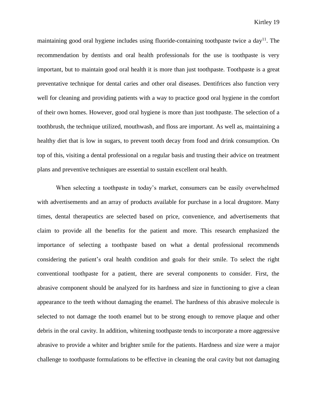maintaining good oral hygiene includes using fluoride-containing toothpaste twice a  $\text{day}^{11}$ . The recommendation by dentists and oral health professionals for the use is toothpaste is very important, but to maintain good oral health it is more than just toothpaste. Toothpaste is a great preventative technique for dental caries and other oral diseases. Dentifrices also function very well for cleaning and providing patients with a way to practice good oral hygiene in the comfort of their own homes. However, good oral hygiene is more than just toothpaste. The selection of a toothbrush, the technique utilized, mouthwash, and floss are important. As well as, maintaining a healthy diet that is low in sugars, to prevent tooth decay from food and drink consumption. On top of this, visiting a dental professional on a regular basis and trusting their advice on treatment plans and preventive techniques are essential to sustain excellent oral health.

When selecting a toothpaste in today's market, consumers can be easily overwhelmed with advertisements and an array of products available for purchase in a local drugstore. Many times, dental therapeutics are selected based on price, convenience, and advertisements that claim to provide all the benefits for the patient and more. This research emphasized the importance of selecting a toothpaste based on what a dental professional recommends considering the patient's oral health condition and goals for their smile. To select the right conventional toothpaste for a patient, there are several components to consider. First, the abrasive component should be analyzed for its hardness and size in functioning to give a clean appearance to the teeth without damaging the enamel. The hardness of this abrasive molecule is selected to not damage the tooth enamel but to be strong enough to remove plaque and other debris in the oral cavity. In addition, whitening toothpaste tends to incorporate a more aggressive abrasive to provide a whiter and brighter smile for the patients. Hardness and size were a major challenge to toothpaste formulations to be effective in cleaning the oral cavity but not damaging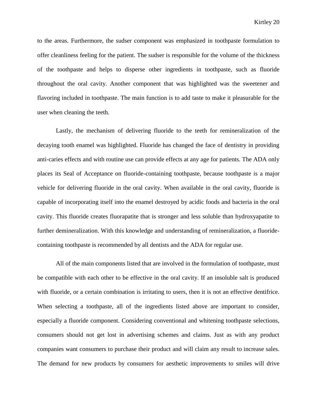to the areas. Furthermore, the sudser component was emphasized in toothpaste formulation to offer cleanliness feeling for the patient. The sudser is responsible for the volume of the thickness of the toothpaste and helps to disperse other ingredients in toothpaste, such as fluoride throughout the oral cavity. Another component that was highlighted was the sweetener and flavoring included in toothpaste. The main function is to add taste to make it pleasurable for the user when cleaning the teeth.

Lastly, the mechanism of delivering fluoride to the teeth for remineralization of the decaying tooth enamel was highlighted. Fluoride has changed the face of dentistry in providing anti-caries effects and with routine use can provide effects at any age for patients. The ADA only places its Seal of Acceptance on fluoride-containing toothpaste, because toothpaste is a major vehicle for delivering fluoride in the oral cavity. When available in the oral cavity, fluoride is capable of incorporating itself into the enamel destroyed by acidic foods and bacteria in the oral cavity. This fluoride creates fluorapatite that is stronger and less soluble than hydroxyapatite to further demineralization. With this knowledge and understanding of remineralization, a fluoridecontaining toothpaste is recommended by all dentists and the ADA for regular use.

All of the main components listed that are involved in the formulation of toothpaste, must be compatible with each other to be effective in the oral cavity. If an insoluble salt is produced with fluoride, or a certain combination is irritating to users, then it is not an effective dentifrice. When selecting a toothpaste, all of the ingredients listed above are important to consider, especially a fluoride component. Considering conventional and whitening toothpaste selections, consumers should not get lost in advertising schemes and claims. Just as with any product companies want consumers to purchase their product and will claim any result to increase sales. The demand for new products by consumers for aesthetic improvements to smiles will drive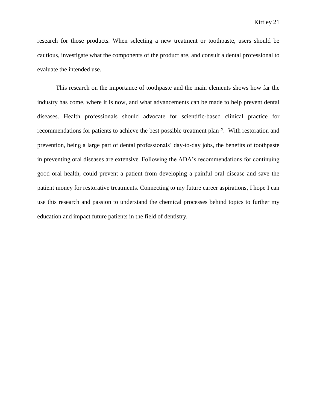research for those products. When selecting a new treatment or toothpaste, users should be cautious, investigate what the components of the product are, and consult a dental professional to evaluate the intended use.

This research on the importance of toothpaste and the main elements shows how far the industry has come, where it is now, and what advancements can be made to help prevent dental diseases. Health professionals should advocate for scientific-based clinical practice for recommendations for patients to achieve the best possible treatment plan<sup>19</sup>. With restoration and prevention, being a large part of dental professionals' day-to-day jobs, the benefits of toothpaste in preventing oral diseases are extensive. Following the ADA's recommendations for continuing good oral health, could prevent a patient from developing a painful oral disease and save the patient money for restorative treatments. Connecting to my future career aspirations, I hope I can use this research and passion to understand the chemical processes behind topics to further my education and impact future patients in the field of dentistry.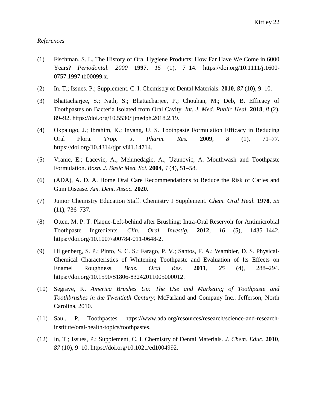## *References*

- (1) Fischman, S. L. The History of Oral Hygiene Products: How Far Have We Come in 6000 Years? *Periodontal. 2000* **1997**, *15* (1), 7–14. https://doi.org/10.1111/j.1600- 0757.1997.tb00099.x.
- (2) In, T.; Issues, P.; Supplement, C. I. Chemistry of Dental Materials. **2010**, *87* (10), 9–10.
- (3) Bhattacharjee, S.; Nath, S.; Bhattacharjee, P.; Chouhan, M.; Deb, B. Efficacy of Toothpastes on Bacteria Isolated from Oral Cavity. *Int. J. Med. Public Heal.* **2018**, *8* (2), 89–92. https://doi.org/10.5530/ijmedph.2018.2.19.
- (4) Okpalugo, J.; Ibrahim, K.; Inyang, U. S. Toothpaste Formulation Efficacy in Reducing Oral Flora. *Trop. J. Pharm. Res.* **2009**, *8* (1), 71–77. https://doi.org/10.4314/tjpr.v8i1.14714.
- (5) Vranic, E.; Lacevic, A.; Mehmedagic, A.; Uzunovic, A. Mouthwash and Toothpaste Formulation. *Bosn. J. Basic Med. Sci.* **2004**, *4* (4), 51–58.
- (6) (ADA), A. D. A. Home Oral Care Recommendations to Reduce the Risk of Caries and Gum Disease. *Am. Dent. Assoc.* **2020**.
- (7) Junior Chemistry Education Staff. Chemistry I Supplement. *Chem. Oral Heal.* **1978**, *55* (11), 736–737.
- (8) Otten, M. P. T. Plaque-Left-behind after Brushing: Intra-Oral Reservoir for Antimicrobial Toothpaste Ingredients. *Clin. Oral Investig.* **2012**, *16* (5), 1435–1442. https://doi.org/10.1007/s00784-011-0648-2.
- (9) Hilgenberg, S. P.; Pinto, S. C. S.; Farago, P. V.; Santos, F. A.; Wambier, D. S. Physical-Chemical Characteristics of Whitening Toothpaste and Evaluation of Its Effects on Enamel Roughness. *Braz. Oral Res.* **2011**, *25* (4), 288–294. https://doi.org/10.1590/S1806-83242011005000012.
- (10) Segrave, K. *America Brushes Up: The Use and Marketing of Toothpaste and Toothbrushes in the Twentieth Century*; McFarland and Company Inc.: Jefferson, North Carolina, 2010.
- (11) Saul, P. Toothpastes https://www.ada.org/resources/research/science-and-researchinstitute/oral-health-topics/toothpastes.
- (12) In, T.; Issues, P.; Supplement, C. I. Chemistry of Dental Materials. *J. Chem. Educ.* **2010**, *87* (10), 9–10. [https://doi.org/10.1021/ed1004992.](https://doi.org/10.1021/ed1004992)